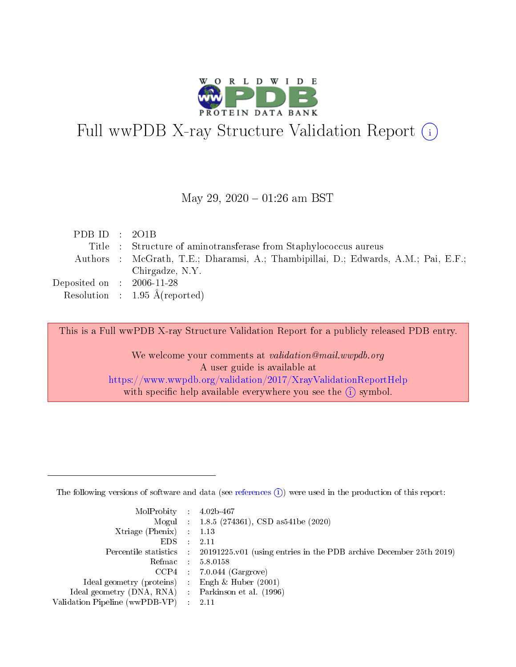

# Full wwPDB X-ray Structure Validation Report (i)

#### May 29,  $2020 - 01:26$  am BST

| PDB ID : $2O1B$                      |                                                                                    |
|--------------------------------------|------------------------------------------------------------------------------------|
|                                      | Title : Structure of aminotransferase from Staphylococcus aureus                   |
|                                      | Authors : McGrath, T.E.; Dharamsi, A.; Thambipillai, D.; Edwards, A.M.; Pai, E.F.; |
|                                      | Chirgadze, N.Y.                                                                    |
| Deposited on $\therefore$ 2006-11-28 |                                                                                    |
|                                      | Resolution : $1.95 \text{ Å}$ (reported)                                           |

This is a Full wwPDB X-ray Structure Validation Report for a publicly released PDB entry.

We welcome your comments at validation@mail.wwpdb.org A user guide is available at <https://www.wwpdb.org/validation/2017/XrayValidationReportHelp> with specific help available everywhere you see the  $(i)$  symbol.

The following versions of software and data (see [references](https://www.wwpdb.org/validation/2017/XrayValidationReportHelp#references)  $(1)$ ) were used in the production of this report:

| $MolProbability$ 4.02b-467                          |               |                                                                                            |
|-----------------------------------------------------|---------------|--------------------------------------------------------------------------------------------|
|                                                     |               | Mogul : $1.8.5$ (274361), CSD as 541be (2020)                                              |
| Xtriage (Phenix) $: 1.13$                           |               |                                                                                            |
| EDS.                                                | $\mathcal{L}$ | -2.11                                                                                      |
|                                                     |               | Percentile statistics : 20191225.v01 (using entries in the PDB archive December 25th 2019) |
|                                                     |               | Refmac $5.8.0158$                                                                          |
| CCP4                                                |               | $7.0.044$ (Gargrove)                                                                       |
| Ideal geometry (proteins)                           | $\sim$        | Engh $\&$ Huber (2001)                                                                     |
| Ideal geometry (DNA, RNA) : Parkinson et al. (1996) |               |                                                                                            |
| Validation Pipeline (wwPDB-VP) : 2.11               |               |                                                                                            |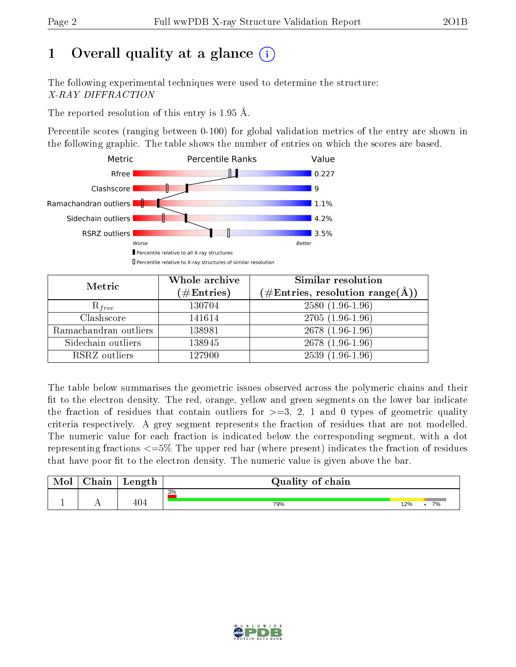## 1 [O](https://www.wwpdb.org/validation/2017/XrayValidationReportHelp#overall_quality)verall quality at a glance  $(i)$

The following experimental techniques were used to determine the structure: X-RAY DIFFRACTION

The reported resolution of this entry is 1.95 Å.

Percentile scores (ranging between 0-100) for global validation metrics of the entry are shown in the following graphic. The table shows the number of entries on which the scores are based.



| Metric                | Whole archive       | Similar resolution                                                     |
|-----------------------|---------------------|------------------------------------------------------------------------|
|                       | (# $\rm{Entries}$ ) | $(\#\text{Entries},\, \text{resolution}\; \text{range}(\textup{\AA}))$ |
| $R_{free}$            | 130704              | $2580(1.96-1.96)$                                                      |
| Clashscore            | 141614              | $2705(1.96-1.96)$                                                      |
| Ramachandran outliers | 138981              | $2678(1.96-1.96)$                                                      |
| Sidechain outliers    | 138945              | $2678(1.96-1.96)$                                                      |
| RSRZ outliers         | 127900              | $2539(1.96-1.96)$                                                      |

The table below summarises the geometric issues observed across the polymeric chains and their fit to the electron density. The red, orange, yellow and green segments on the lower bar indicate the fraction of residues that contain outliers for  $>=3, 2, 1$  and 0 types of geometric quality criteria respectively. A grey segment represents the fraction of residues that are not modelled. The numeric value for each fraction is indicated below the corresponding segment, with a dot representing fractions  $\epsilon=5\%$  The upper red bar (where present) indicates the fraction of residues that have poor fit to the electron density. The numeric value is given above the bar.

| Mol | $\cap$ hain | Length | Quality of chain |           |  |  |  |  |
|-----|-------------|--------|------------------|-----------|--|--|--|--|
|     |             |        | 3%               |           |  |  |  |  |
|     |             | 404    | 79%              | 7%<br>12% |  |  |  |  |

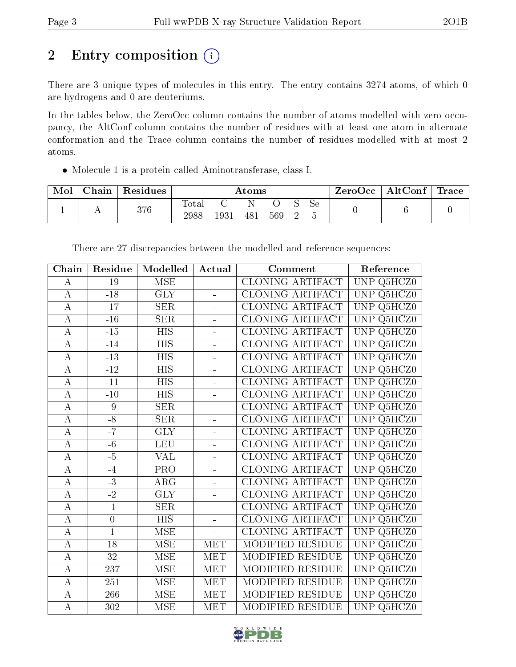## 2 Entry composition (i)

There are 3 unique types of molecules in this entry. The entry contains 3274 atoms, of which 0 are hydrogens and 0 are deuteriums.

In the tables below, the ZeroOcc column contains the number of atoms modelled with zero occupancy, the AltConf column contains the number of residues with at least one atom in alternate conformation and the Trace column contains the number of residues modelled with at most 2 atoms.

Molecule 1 is a protein called Aminotransferase, class I.

| Mol | Chain | $\,$ Residues $\,$ | $\rm{Atoms}$  |      |     |     | ZeroOcc | $\vert$ AltConf $\vert$ Trace $\vert$ |  |  |  |
|-----|-------|--------------------|---------------|------|-----|-----|---------|---------------------------------------|--|--|--|
|     |       | 376                | Total<br>2988 | 1931 | 481 | 569 |         | Sе                                    |  |  |  |

| Chain              | Residue          | Modelled                | Actual                   | Comment                 | Reference                             |
|--------------------|------------------|-------------------------|--------------------------|-------------------------|---------------------------------------|
| $\bf{A}$           | $-19$            | <b>MSE</b>              | $\overline{a}$           | CLONING ARTIFACT        | <b>UNP</b><br>Q5HCZ0                  |
| $\bf{A}$           | $-18$            | <b>GLY</b>              |                          | CLONING ARTIFACT        | <b>UNP</b><br>Q5HCZ0                  |
| $\bf{A}$           | $-17$            | <b>SER</b>              | $\blacksquare$           | <b>CLONING ARTIFACT</b> | Q5HCZ0<br><b>UNP</b>                  |
| $\bf{A}$           | $-16$            | <b>SER</b>              | L,                       | <b>CLONING ARTIFACT</b> | <b>UNP</b><br>Q5HCZ0                  |
| $\overline{\rm A}$ | $-15$            | $\overline{HIS}$        | $\overline{a}$           | CLONING ARTIFACT        | <b>UNP</b><br>Q5HCZ0                  |
| $\bf{A}$           | $-14$            | <b>HIS</b>              | $\overline{a}$           | <b>CLONING ARTIFACT</b> | $\ensuremath{\mathrm{UNP}}$<br>Q5HCZ0 |
| $\bf{A}$           | $-13$            | <b>HIS</b>              | L,                       | <b>CLONING ARTIFACT</b> | <b>UNP</b><br>Q5HCZ0                  |
| $\overline{A}$     | $-12$            | <b>HIS</b>              | L.                       | CLONING ARTIFACT        | <b>UNP</b><br>Q5HCZ0                  |
| $\bf{A}$           | $-11$            | <b>HIS</b>              | $\overline{a}$           | CLONING ARTIFACT        | $\ensuremath{\mathrm{UNP}}$<br>Q5HCZ0 |
| $\bf{A}$           | $-10$            | $\overline{HIS}$        | L,                       | <b>CLONING ARTIFACT</b> | <b>UNP</b><br>Q5HCZ0                  |
| $\bf{A}$           | $-9$             | <b>SER</b>              | L.                       | CLONING ARTIFACT        | $\ensuremath{\mathrm{UNP}}$<br>Q5HCZ0 |
| $\overline{A}$     | $-\sqrt{8}$      | SER                     | $\overline{a}$           | <b>CLONING ARTIFACT</b> | <b>UNP</b><br>Q5HCZ0                  |
| $\boldsymbol{A}$   | $-7$             | <b>GLY</b>              | ÷,                       | CLONING ARTIFACT        | <b>UNP</b><br>Q5HCZ0                  |
| $\bf{A}$           | $-6$             | <b>LEU</b>              | $\overline{a}$           | CLONING ARTIFACT        | <b>UNP</b><br>Q5HCZ0                  |
| $\overline{A}$     | $-5$             | $\overline{\text{VAL}}$ | $\overline{a}$           | <b>CLONING ARTIFACT</b> | <b>UNP</b><br>Q5HCZ0                  |
| $\bf{A}$           | $-4$             | PRO <sub></sub>         | $\overline{a}$           | <b>CLONING ARTIFACT</b> | <b>UNP</b><br>Q5HCZ0                  |
| $\overline{\rm A}$ | $\overline{-3}$  | $\overline{\rm{ARG}}$   | $\overline{\phantom{0}}$ | CLONING ARTIFACT        | <b>UNP</b><br>Q5HCZ0                  |
| $\bf{A}$           | $\overline{-2}$  | $\overline{\text{GLY}}$ | $\overline{a}$           | <b>CLONING ARTIFACT</b> | <b>UNP</b><br>Q5HCZ0                  |
| $\bf{A}$           | $-1$             | <b>SER</b>              | $\overline{a}$           | <b>CLONING ARTIFACT</b> | <b>UNP</b><br>Q5HCZ0                  |
| $\bf{A}$           | $\boldsymbol{0}$ | <b>HIS</b>              | $\overline{a}$           | <b>CLONING ARTIFACT</b> | <b>UNP</b><br>Q5HCZ0                  |
| $\bf{A}$           | $\mathbf{1}$     | MSE                     | $\overline{a}$           | <b>CLONING ARTIFACT</b> | <b>UNP</b><br>Q5HCZ0                  |
| $\overline{A}$     | $\overline{18}$  | $\overline{\rm MSE}$    | <b>MET</b>               | MODIFIED RESIDUE        | <b>UNP</b><br>Q5HCZ0                  |
| $\mathbf A$        | 32               | <b>MSE</b>              | <b>MET</b>               | MODIFIED RESIDUE        | <b>UNP</b><br>Q5HCZ0                  |
| $\overline{A}$     | $\overline{237}$ | $\overline{\rm MSE}$    | <b>MET</b>               | MODIFIED RESIDUE        | <b>UNP</b><br>Q5HCZ0                  |
| $\overline{A}$     | 251              | <b>MSE</b>              | <b>MET</b>               | MODIFIED RESIDUE        | Q5HCZ0<br><b>UNP</b>                  |
| $\mathbf A$        | 266              | <b>MSE</b>              | <b>MET</b>               | MODIFIED RESIDUE        | <b>UNP</b><br>Q5HCZ0                  |
| $\overline{A}$     | 302              | <b>MSE</b>              | <b>MET</b>               | MODIFIED RESIDUE        | <b>UNP</b><br>Q5HCZ0                  |

There are 27 discrepancies between the modelled and reference sequences:

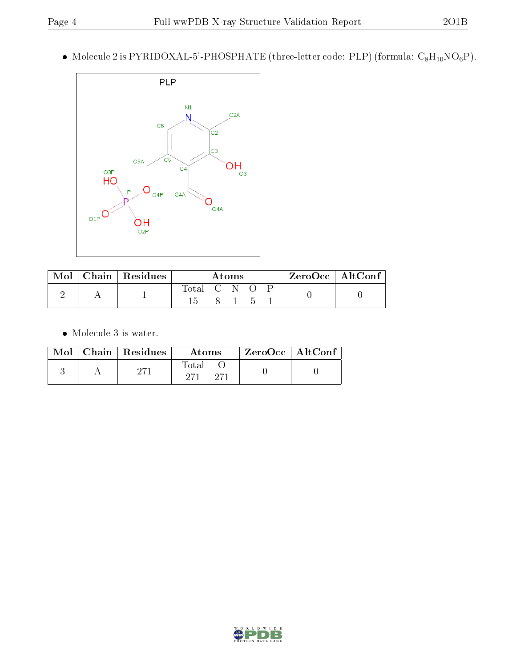$\bullet\,$  Molecule 2 is <code>PYRIDOXAL-5'-PHOSPHATE</code> (three-letter code: <code>PLP</code>) (formula: <code>C<sub>8</sub>H<sub>10</sub>NO<sub>6</sub>P).</code>



| Mol | $\mid$ Chain $\mid$ Residues $\mid$ | Atoms       |  |  | $\rm ZeroOcc \mid AltConf$ |  |  |  |
|-----|-------------------------------------|-------------|--|--|----------------------------|--|--|--|
|     |                                     | Total C N O |  |  |                            |  |  |  |

 $\bullet\,$  Molecule 3 is water.

|  | $\text{Mol}$   Chain   Residues | Atoms | $\mathsf{ZeroOcc} \mid \mathsf{AltConf} \mid$ |  |
|--|---------------------------------|-------|-----------------------------------------------|--|
|  |                                 | Total |                                               |  |

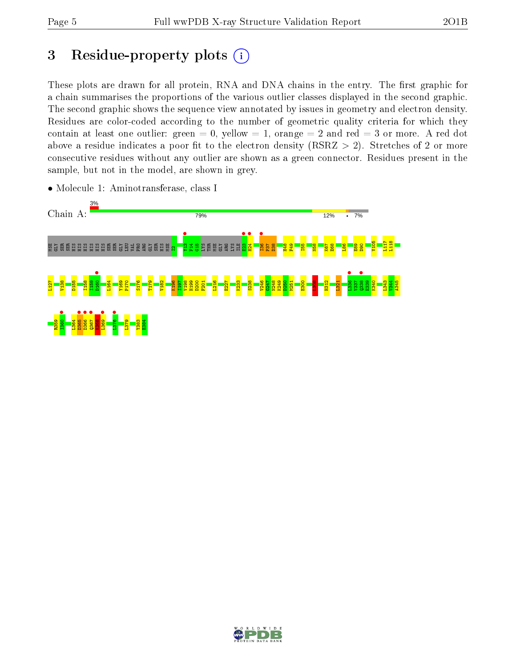## 3 Residue-property plots  $(i)$

These plots are drawn for all protein, RNA and DNA chains in the entry. The first graphic for a chain summarises the proportions of the various outlier classes displayed in the second graphic. The second graphic shows the sequence view annotated by issues in geometry and electron density. Residues are color-coded according to the number of geometric quality criteria for which they contain at least one outlier: green  $= 0$ , yellow  $= 1$ , orange  $= 2$  and red  $= 3$  or more. A red dot above a residue indicates a poor fit to the electron density (RSRZ  $> 2$ ). Stretches of 2 or more consecutive residues without any outlier are shown as a green connector. Residues present in the sample, but not in the model, are shown in grey.



• Molecule 1: Aminotransferase, class I

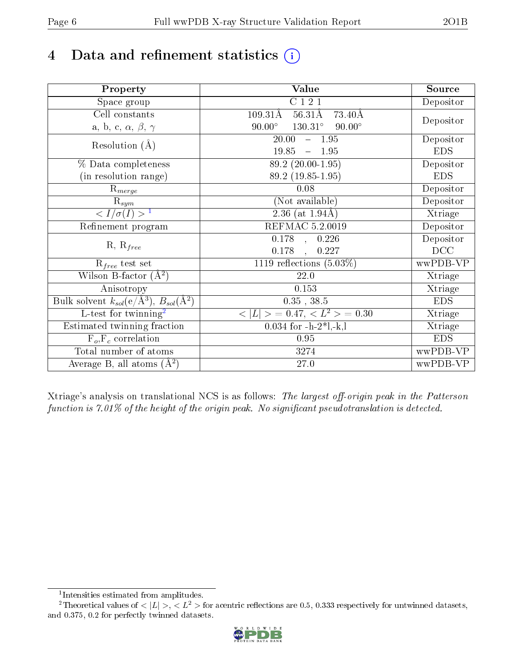## 4 Data and refinement statistics  $(i)$

| Property                                                             | Value                                             | Source     |
|----------------------------------------------------------------------|---------------------------------------------------|------------|
| Space group                                                          | C121                                              | Depositor  |
| Cell constants                                                       | $56.31\text{\AA}$<br>$109.31\text{\AA}$<br>73.40Å |            |
| a, b, c, $\alpha$ , $\beta$ , $\gamma$                               | $90.00^\circ$<br>$130.31^\circ$<br>$90.00^\circ$  | Depositor  |
|                                                                      | 20.00<br>$-1.95$                                  | Depositor  |
| Resolution $(A)$                                                     | 19.85<br>$-1.95$                                  | <b>EDS</b> |
| % Data completeness                                                  | 89.2 (20.00-1.95)                                 | Depositor  |
| (in resolution range)                                                | 89.2 (19.85-1.95)                                 | <b>EDS</b> |
| $\mathrm{R}_{merge}$                                                 | 0.08                                              | Depositor  |
| $\mathrm{R}_{sym}$                                                   | (Not available)                                   | Depositor  |
| $\sqrt{I/\sigma}(I) > 1$                                             | $\overline{2.36}$ (at 1.94Å)                      | Xtriage    |
| Refinement program                                                   | <b>REFMAC 5.2.0019</b>                            | Depositor  |
|                                                                      | $\overline{0.178}$ ,<br>0.226                     | Depositor  |
| $R, R_{free}$                                                        | 0.178<br>0.227<br>$\overline{\phantom{a}}$        | DCC        |
| $R_{free}$ test set                                                  | 1119 reflections $(5.03\%)$                       | wwPDB-VP   |
| Wilson B-factor $(A^2)$                                              | 22.0                                              | Xtriage    |
| Anisotropy                                                           | 0.153                                             | Xtriage    |
| Bulk solvent $k_{sol}(e/\mathring{A}^3)$ , $B_{sol}(\mathring{A}^2)$ | $0.35$ , $38.5$                                   | <b>EDS</b> |
| $\overline{L-test for }$ twinning <sup>2</sup>                       | $< L >$ = 0.47, $< L2 >$ = 0.30                   | Xtriage    |
| Estimated twinning fraction                                          | $0.034$ for $-h-2*1,-k,l$                         | Xtriage    |
| $F_o, F_c$ correlation                                               | 0.95                                              | <b>EDS</b> |
| Total number of atoms                                                | 3274                                              | wwPDB-VP   |
| Average B, all atoms $(A^2)$                                         | 27.0                                              | wwPDB-VP   |

Xtriage's analysis on translational NCS is as follows: The largest off-origin peak in the Patterson function is  $7.01\%$  of the height of the origin peak. No significant pseudotranslation is detected.

<sup>&</sup>lt;sup>2</sup>Theoretical values of  $\langle |L| \rangle$ ,  $\langle L^2 \rangle$  for acentric reflections are 0.5, 0.333 respectively for untwinned datasets, and 0.375, 0.2 for perfectly twinned datasets.



<span id="page-5-1"></span><span id="page-5-0"></span><sup>1</sup> Intensities estimated from amplitudes.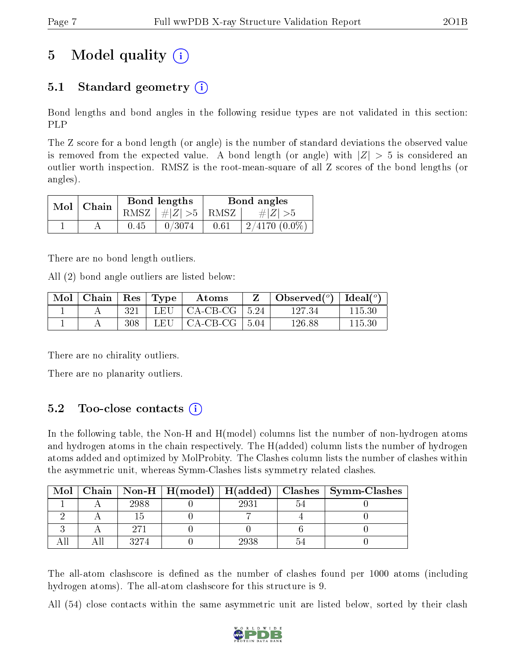## 5 Model quality  $(i)$

## 5.1 Standard geometry  $(i)$

Bond lengths and bond angles in the following residue types are not validated in this section: PLP

The Z score for a bond length (or angle) is the number of standard deviations the observed value is removed from the expected value. A bond length (or angle) with  $|Z| > 5$  is considered an outlier worth inspection. RMSZ is the root-mean-square of all Z scores of the bond lengths (or angles).

|  | $Mol$   Chain |      | Bond lengths                     | Bond angles |                 |  |
|--|---------------|------|----------------------------------|-------------|-----------------|--|
|  |               |      | RMSZ $\mid \#  Z  > 5 \mid$ RMSZ |             | $\# Z  > 5$     |  |
|  |               | 0.45 | 0/3074                           | 0.61        | $2/4170(0.0\%)$ |  |

There are no bond length outliers.

All (2) bond angle outliers are listed below:

| $\mid$ Mol $\mid$ Chain $\mid$ Res $\mid$ Type $\mid$ |     |       | Atoms                                             | $\perp$ Observed( $^o$ )   Ideal( $^o$ ) |        |
|-------------------------------------------------------|-----|-------|---------------------------------------------------|------------------------------------------|--------|
|                                                       | 321 |       | $\perp$ LEU $\parallel$ CA-CB-CG $\parallel$ 5.24 | 127.34                                   | 115.30 |
|                                                       | 308 | LEU – | CA-CB-CG   5.04                                   | 126.88                                   | 115.30 |

There are no chirality outliers.

There are no planarity outliers.

### 5.2 Too-close contacts  $(i)$

In the following table, the Non-H and H(model) columns list the number of non-hydrogen atoms and hydrogen atoms in the chain respectively. The H(added) column lists the number of hydrogen atoms added and optimized by MolProbity. The Clashes column lists the number of clashes within the asymmetric unit, whereas Symm-Clashes lists symmetry related clashes.

| Mol |      |      | Chain   Non-H   H(model)   H(added)   Clashes   Symm-Clashes |
|-----|------|------|--------------------------------------------------------------|
|     | 2988 | 2931 |                                                              |
|     |      |      |                                                              |
|     | 97.  |      |                                                              |
|     | 3274 | 2938 |                                                              |

The all-atom clashscore is defined as the number of clashes found per 1000 atoms (including hydrogen atoms). The all-atom clashscore for this structure is 9.

All (54) close contacts within the same asymmetric unit are listed below, sorted by their clash

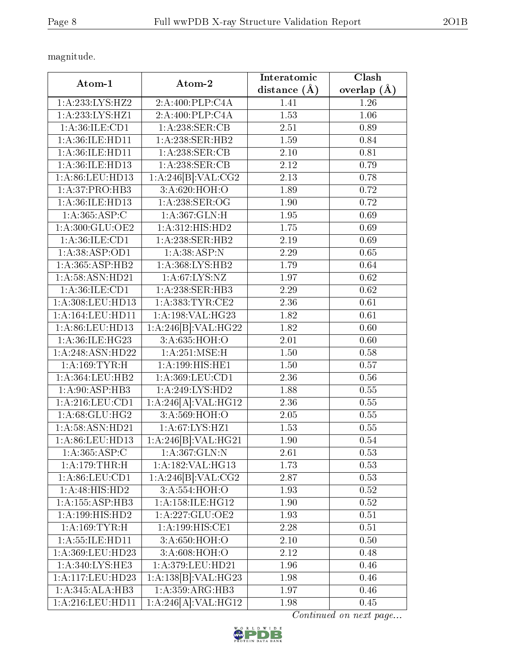magnitude.

| Atom-1<br>Atom-2             |                                   | Interatomic       | <b>Clash</b>      |
|------------------------------|-----------------------------------|-------------------|-------------------|
|                              |                                   | distance $(A)$    | overlap $(\AA)$   |
| 1: A:233:LYS:HZ2             | 2:A:400:PLP:CAA                   | 1.41              | 1.26              |
| 1:A:233:LYS:HZ1              | 2:A:400:PLP:CAA                   | 1.53              | 1.06              |
| 1: A:36: ILE: CD1            | 1:A:238:SER:CB                    | 2.51              | 0.89              |
| 1: A:36: ILE: HD11           | 1:A:238:SER:HB2                   | 1.59              | 0.84              |
| 1:A:36:ILE:HD11              | 1:A:238:SER:CB                    | 2.10              | 0.81              |
| 1:A:36:ILE:HD13              | 1:A:238:SER:CB                    | 2.12              | 0.79              |
| 1:A:86:LEU:HD13              | 1:A:246[B]:VAL:CG2                | 2.13              | 0.78              |
| 1:A:37:PRO:HB3               | 3:A:620:HOH:O                     | 1.89              | 0.72              |
| 1:A:36:ILE:HD13              | 1: A:238: SER:OG                  | 1.90              | 0.72              |
| 1:A:365:ASP:C                | 1:A:367:GLN:H                     | 1.95              | 0.69              |
| 1:A:300:GLU:OE2              | 1:A:312:HIS:HD2                   | 1.75              | 0.69              |
| 1: A:36: ILE: CD1            | 1:A:238:SER:HB2                   | 2.19              | 0.69              |
| 1: A: 38: ASP: OD1           | 1: A: 38: ASP: N                  | 2.29              | 0.65              |
| 1:A:365:ASP:HB2              | 1:A:368:LYS:HB2                   | 1.79              | 0.64              |
| 1: A:58: ASN:HD21            | $1:A:67:\overline{\text{LYS:NZ}}$ | 1.97              | 0.62              |
| 1: A:36: ILE: CD1            | 1:A:238:SER:HB3                   | 2.29              | $\overline{0.62}$ |
| $1: A: 308:$ LEU:HD13        | 1:A:383:TYR:CE2                   | 2.36              | 0.61              |
| 1: A: 164: LEU: HD11         | 1:A:198:VAL:HG23                  | 1.82              | 0.61              |
| 1:A:86:LEU:HD13              | 1:A:246[B]:VAL:H G22              | 1.82              | 0.60              |
| 1:A:36:ILE:HG23              | $3:A:\overline{635:HOH:O}$        | $\overline{2.01}$ | 0.60              |
| 1:A:248:ASN:HD22             | 1:A:251:MSE:H                     | 1.50              | 0.58              |
| 1:A:169:TYR:H                | 1:A:199:HIS:HE1                   | 1.50              | 0.57              |
| 1:A:364:LEU:HB2              | 1: A:369:LEU:CD1                  | 2.36              | 0.56              |
| 1:A:90:ASP:HB3               | 1:A:249:LYS:HD2                   | 1.88              | 0.55              |
| 1:A:216:LEU:CD1              | 1:A:246[A]:VAL:H <sub>G12</sub>   | 2.36              | 0.55              |
| 1: A:68: GLU:HG2             | 3:A:569:HOH:O                     | 2.05              | 0.55              |
| 1: A:58: ASN:HD21            | $1:\overline{A:67:LYS:HZ1}$       | $\overline{1.53}$ | 0.55              |
| 1:A:86:LEU:HD13              | 1:A:246[B]:VAL:H <sub>G21</sub>   | 1.90              | 0.54              |
| 1:A:365:ASP:C                | 1:A:367:GLN:N                     | 2.61              | 0.53              |
| 1:A:179:THR:H                | 1:A:182:VAL:HG13                  | 1.73              | 0.53              |
| 1: A:86: LEU:CD1             | 1:A:246[B]:VAL:CG2                | 2.87              | 0.53              |
| $1:\overline{A:48:HIS:HD2}$  | 3:A:554:HOH:O                     | 1.93              | 0.52              |
| 1:A:155:ASP:HB3              | 1: A:158: ILE: HG12               | 1.90              | 0.52              |
| $1:A:199:HIS:\overline{HD2}$ | 1:A:227:GLU:OE2                   | 1.93              | 0.51              |
| 1: A: 169: TYR:H             | 1: A:199:HIS:CE1                  | 2.28              | 0.51              |
| 1:A:55:ILE:HD11              | 3:A:650:HOH:O                     | 2.10              | 0.50              |
| 1:A:369:LEU:HD23             | 3:A:608:HOH:O                     | 2.12              | 0.48              |
| 1:A:340:LYS:HE3              | 1:A:379:LEU:HD21                  | 1.96              | 0.46              |
| 1:A:117:LEU:HD23             | 1:A:138[B]:VAL:HG23               | 1.98              | $0.46\,$          |
| 1:A:345:ALA:HB3              | 1:A:359:ARG:HB3                   | 1.97              | 0.46              |
| 1:A:216:LEU:HD11             | 1:A:246[A]:VAL:HG12               | 1.98              | 0.45              |

Continued on next page...

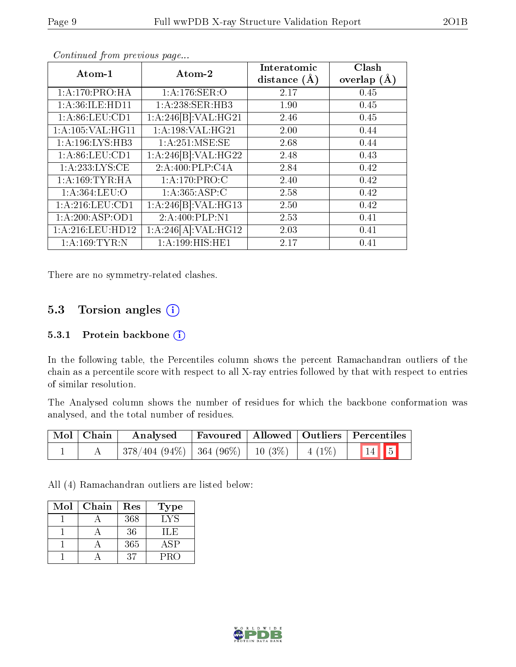| Atom-1              | Atom-2               | Interatomic<br>distance $(A)$ | Clash<br>overlap $(\AA)$ |
|---------------------|----------------------|-------------------------------|--------------------------|
| 1:A:170:PRO:HA      | 1:A:176:SER:O        | 2.17                          | 0.45                     |
| 1: A:36: ILE: HD11  | 1:A:238:SER:HB3      | 1.90                          | 0.45                     |
| 1: A:86: LEU:CD1    | 1:A:246[B]:VAL:H G21 | 2.46                          | 0.45                     |
| 1: A: 105: VAL:HGI1 | 1: A:198: VAL:HG21   | 2.00                          | 0.44                     |
| 1: A:196: LYS: HB3  | 1: A:251: MSE:SE     | 2.68                          | 0.44                     |
| 1: A:86: LEU:CD1    | 1:A:246[B]:VAL:H G22 | 2.48                          | 0.43                     |
| 1: A: 233: LYS: CE  | 2:A:400:PLP:CAA      | 2.84                          | 0.42                     |
| 1: A: 169: TYR: HA  | 1: A:170: PRO:CC     | 2.40                          | 0.42                     |
| 1: A: 364: LEU: O   | 1: A: 365: ASP: C    | 2.58                          | 0.42                     |
| 1: A:216:LEU:CD1    | 1:A:246[B]:VAL:H G13 | 2.50                          | 0.42                     |
| 1:A:200:ASP:OD1     | 2:A:400:PLP:N1       | 2.53                          | 0.41                     |
| 1:A:216:LEU:HD12    | 1:A:246[A]:VAL:H G12 | 2.03                          | 0.41                     |
| 1: A: 169: TYR: N   | 1:A:199:HIS:HE1      | 2.17                          | 0.41                     |

Continued from previous page...

There are no symmetry-related clashes.

### 5.3 Torsion angles  $(i)$

#### 5.3.1 Protein backbone (i)

In the following table, the Percentiles column shows the percent Ramachandran outliers of the chain as a percentile score with respect to all X-ray entries followed by that with respect to entries of similar resolution.

The Analysed column shows the number of residues for which the backbone conformation was analysed, and the total number of residues.

| Mol   Chain | Analysed                                            |  | Favoured   Allowed   Outliers   Percentiles |
|-------------|-----------------------------------------------------|--|---------------------------------------------|
|             | $\mid$ 378/404 (94%)   364 (96%)   10 (3%)   4 (1%) |  | $\boxed{14}$ 5                              |

All (4) Ramachandran outliers are listed below:

| Mol | Chain | Res | <b>Type</b> |
|-----|-------|-----|-------------|
|     |       | 368 | LYS         |
|     |       | 36  | H.E         |
|     |       | 365 | ASP         |
|     |       | 37  | PRO         |

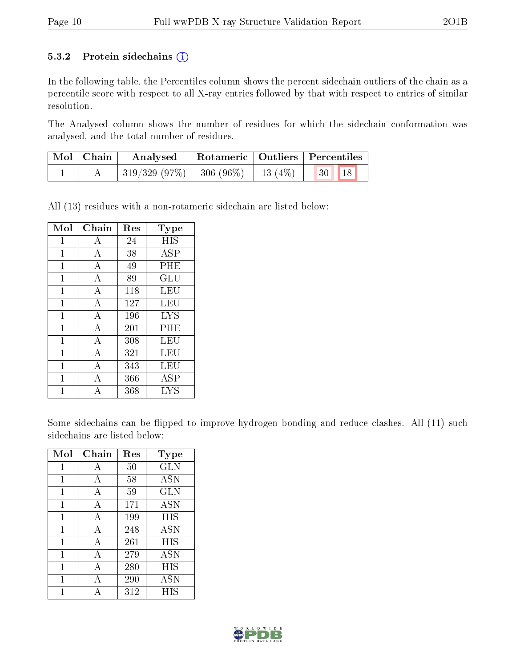#### 5.3.2 Protein sidechains  $(i)$

In the following table, the Percentiles column shows the percent sidechain outliers of the chain as a percentile score with respect to all X-ray entries followed by that with respect to entries of similar resolution.

The Analysed column shows the number of residues for which the sidechain conformation was analysed, and the total number of residues.

| Mol   Chain | Analysed                                 | Rotameric   Outliers   Percentiles |  |           |  |
|-------------|------------------------------------------|------------------------------------|--|-----------|--|
|             | $319/329$ (97\%)   306 (96\%)   13 (4\%) |                                    |  | 18<br> 30 |  |

All (13) residues with a non-rotameric sidechain are listed below:

| Mol            | ${\rm Chain}$  | Res | <b>Type</b>       |
|----------------|----------------|-----|-------------------|
| 1              | А              | 24  | HIS               |
| $\mathbf{1}$   | А              | 38  | ASP               |
| 1              | А              | 49  | PHE               |
| 1              | A              | 89  | GLU               |
| 1              | А              | 118 | LEU               |
| 1              | А              | 127 | LEU               |
| 1              | A              | 196 | <b>LYS</b>        |
| $\mathbf{1}$   | А              | 201 | PHE               |
| 1              | А              | 308 | LEU               |
| 1              | А              | 321 | LEU               |
| $\overline{1}$ | $\overline{A}$ | 343 | LEU               |
| 1              | А              | 366 | ASP               |
|                |                | 368 | $_{\mathrm{LYS}}$ |

Some sidechains can be flipped to improve hydrogen bonding and reduce clashes. All (11) such sidechains are listed below:

| Mol | Chain | Res | <b>Type</b> |
|-----|-------|-----|-------------|
| 1   | А     | 50  | GLN         |
| 1   | А     | 58  | <b>ASN</b>  |
| 1   | А     | 59  | <b>GLN</b>  |
| 1   | А     | 171 | <b>ASN</b>  |
| 1   | А     | 199 | HIS         |
| 1   | А     | 248 | <b>ASN</b>  |
| 1   | А     | 261 | <b>HIS</b>  |
| 1   | А     | 279 | <b>ASN</b>  |
| 1   | А     | 280 | HIS         |
| 1   | A     | 290 | ASN         |
| 1   | А     | 312 | НIS         |

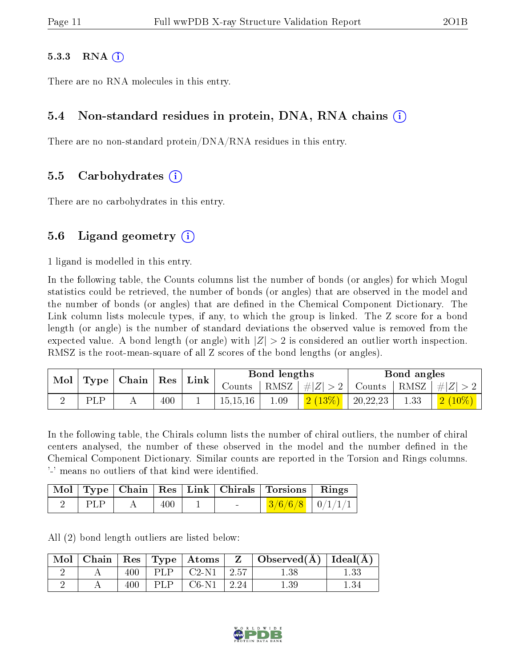#### $5.3.3$  RNA  $(i)$

There are no RNA molecules in this entry.

#### 5.4 Non-standard residues in protein, DNA, RNA chains (i)

There are no non-standard protein/DNA/RNA residues in this entry.

#### 5.5 Carbohydrates (i)

There are no carbohydrates in this entry.

#### 5.6 Ligand geometry  $(i)$

1 ligand is modelled in this entry.

In the following table, the Counts columns list the number of bonds (or angles) for which Mogul statistics could be retrieved, the number of bonds (or angles) that are observed in the model and the number of bonds (or angles) that are defined in the Chemical Component Dictionary. The Link column lists molecule types, if any, to which the group is linked. The Z score for a bond length (or angle) is the number of standard deviations the observed value is removed from the expected value. A bond length (or angle) with  $|Z| > 2$  is considered an outlier worth inspection. RMSZ is the root-mean-square of all Z scores of the bond lengths (or angles).

| Mol |     | $\perp$ Type   Chain   Res |         | Link |            | Bond lengths |                     |          | Bond angles |                                      |
|-----|-----|----------------------------|---------|------|------------|--------------|---------------------|----------|-------------|--------------------------------------|
|     |     |                            |         |      | Counts     | RMSZ         |                     |          |             | $ #Z  > 2$ Counts $ RMSZ  /  Z  > 2$ |
|     | PLP |                            | $400\,$ |      | 15, 15, 16 | 1.09         | $\mid 2(13\%) \mid$ | 20,22,23 | 1.33        | $\mid$ 2 $\left(10\%\right)\mid$     |

In the following table, the Chirals column lists the number of chiral outliers, the number of chiral centers analysed, the number of these observed in the model and the number defined in the Chemical Component Dictionary. Similar counts are reported in the Torsion and Rings columns. '-' means no outliers of that kind were identified.

|      |     |  | Mol   Type   Chain   Res   Link   Chirals   Torsions   Rings |  |
|------|-----|--|--------------------------------------------------------------|--|
| PLP. | 400 |  | $3/6/6/8$   0/1/1/1                                          |  |

All (2) bond length outliers are listed below:

| Mol | Chain |     | $\vert$ Res $\vert$ Type $\vert$ Atoms |         | $\vdash \mathbf{Observed}(\mathbf{A}) \mid \mathbf{Ideal}(\mathbf{A})$ |  |
|-----|-------|-----|----------------------------------------|---------|------------------------------------------------------------------------|--|
|     |       | 400 | $C2-N1$                                | $+2.57$ | 1.38                                                                   |  |
|     |       |     | $C6-N1$                                | 2.24    | $1.39\,$                                                               |  |

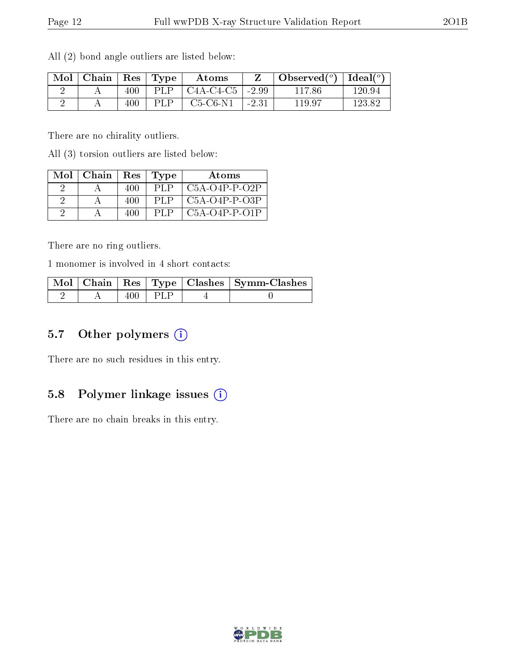| Mol | Chain | $Res \mid$ | $\mathbf{Type}$ | Atoms       |         | Observed $(°)$ | $\mid$ Ideal( $^o$ ) |
|-----|-------|------------|-----------------|-------------|---------|----------------|----------------------|
|     |       | 400        | PLP             | $C4A-C4-C5$ | $-2.99$ | 117.86         | 120.94               |
|     |       | 400        | PLP             | $C5-C6-N1$  | $-2.31$ | 119.97         | 123.82               |

All (2) bond angle outliers are listed below:

There are no chirality outliers.

All (3) torsion outliers are listed below:

| Mol | $\mid$ Chain | Res | Tvpe | Atoms                      |
|-----|--------------|-----|------|----------------------------|
|     |              | 400 | PLP. | $\overline{C5A-O4P-P-O2P}$ |
|     |              | 400 | PLP  | C5A-O4P-P-O3P              |
|     |              | 400 | PLP  | C5A-O4P-P-O1P              |

There are no ring outliers.

1 monomer is involved in 4 short contacts:

|  |     |       | Mol   Chain   Res   Type   Clashes   Symm-Clashes |
|--|-----|-------|---------------------------------------------------|
|  | 400 | I PLP |                                                   |

#### 5.7 [O](https://www.wwpdb.org/validation/2017/XrayValidationReportHelp#nonstandard_residues_and_ligands)ther polymers (i)

There are no such residues in this entry.

#### 5.8 Polymer linkage issues  $(i)$

There are no chain breaks in this entry.

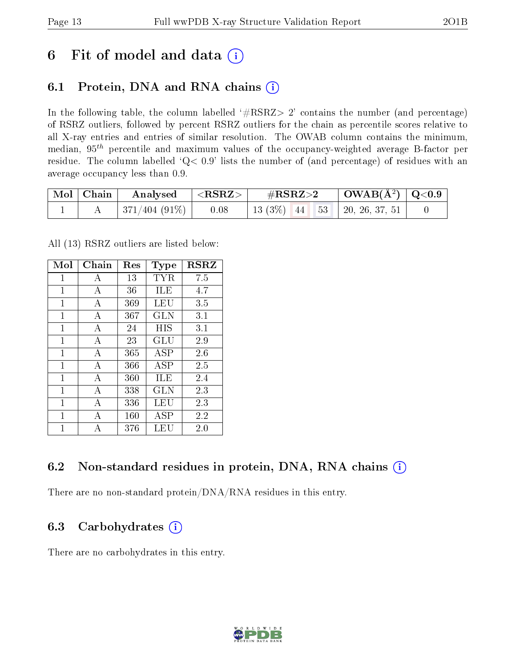## 6 Fit of model and data  $(i)$

### 6.1 Protein, DNA and RNA chains  $(i)$

In the following table, the column labelled  $#RSRZ> 2'$  contains the number (and percentage) of RSRZ outliers, followed by percent RSRZ outliers for the chain as percentile scores relative to all X-ray entries and entries of similar resolution. The OWAB column contains the minimum, median,  $95<sup>th</sup>$  percentile and maximum values of the occupancy-weighted average B-factor per residue. The column labelled ' $Q< 0.9$ ' lists the number of (and percentage) of residues with an average occupancy less than 0.9.

| Mol   Chain | $\rm{Analysised}$ $ <$ $\rm{RSRZ}>$ | $\rm \#RSRZ{>}2$                   | $\vert$ OWAB(Å <sup>2</sup> ) $\vert$ Q<0.9 |  |
|-------------|-------------------------------------|------------------------------------|---------------------------------------------|--|
|             | $\mid 371/404 \; (91\%) \mid$ 0.08  | 13 (3%)   44   53   20, 26, 37, 51 |                                             |  |

All (13) RSRZ outliers are listed below:

| Mol          | Chain          | Res | Type       | $_{\rm RSRZ}$ |
|--------------|----------------|-----|------------|---------------|
| $\mathbf{1}$ | А              | 13  | TYR        | 7.5           |
| 1            | A              | 36  | ILE        | 4.7           |
| 1            | А              | 369 | LEU        | 3.5           |
| 1            | А              | 367 | GLN        | 3.1           |
| 1            | A              | 24  | HIS        | 3.1           |
| 1            | А              | 23  | GLU        | 2.9           |
| $\mathbf{1}$ | А              | 365 | ASP        | 2.6           |
| 1            | A              | 366 | ASP        | 2.5           |
| 1            | $\overline{A}$ | 360 | ILE        | 2.4           |
| 1            | A              | 338 | GLN        | 2.3           |
| 1            | А              | 336 | LEU        | 2.3           |
| 1            | А              | 160 | <b>ASP</b> | 2.2           |
| 1            | А              | 376 | LEU        | 2.0           |

### 6.2 Non-standard residues in protein, DNA, RNA chains (i)

There are no non-standard protein/DNA/RNA residues in this entry.

### 6.3 Carbohydrates (i)

There are no carbohydrates in this entry.